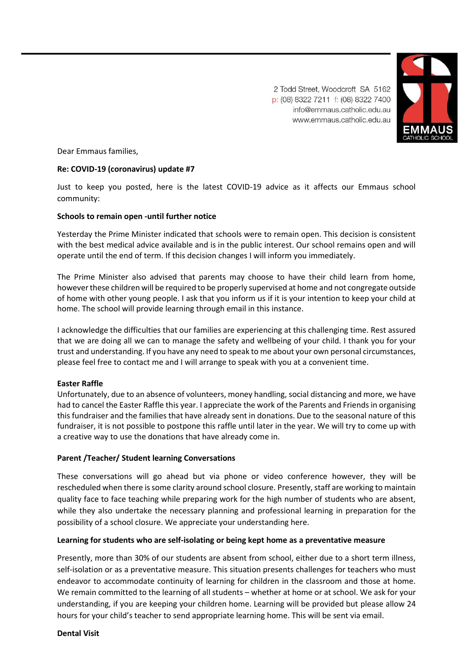

2 Todd Street, Woodcroft SA 5162 p: (08) 8322 7211 f: (08) 8322 7400 info@emmaus.catholic.edu.au www.emmaus.catholic.edu.au

Dear Emmaus families,

## **Re: COVID-19 (coronavirus) update #7**

Just to keep you posted, here is the latest COVID-19 advice as it affects our Emmaus school community:

#### **Schools to remain open -until further notice**

Yesterday the Prime Minister indicated that schools were to remain open. This decision is consistent with the best medical advice available and is in the public interest. Our school remains open and will operate until the end of term. If this decision changes I will inform you immediately.

The Prime Minister also advised that parents may choose to have their child learn from home, however these children will be required to be properly supervised at home and not congregate outside of home with other young people. I ask that you inform us if it is your intention to keep your child at home. The school will provide learning through email in this instance.

I acknowledge the difficulties that our families are experiencing at this challenging time. Rest assured that we are doing all we can to manage the safety and wellbeing of your child. I thank you for your trust and understanding. If you have any need to speak to me about your own personal circumstances, please feel free to contact me and I will arrange to speak with you at a convenient time.

#### **Easter Raffle**

Unfortunately, due to an absence of volunteers, money handling, social distancing and more, we have had to cancel the Easter Raffle this year. I appreciate the work of the Parents and Friends in organising this fundraiser and the families that have already sent in donations. Due to the seasonal nature of this fundraiser, it is not possible to postpone this raffle until later in the year. We will try to come up with a creative way to use the donations that have already come in.

#### **Parent /Teacher/ Student learning Conversations**

These conversations will go ahead but via phone or video conference however, they will be rescheduled when there is some clarity around school closure. Presently, staff are working to maintain quality face to face teaching while preparing work for the high number of students who are absent, while they also undertake the necessary planning and professional learning in preparation for the possibility of a school closure. We appreciate your understanding here.

#### **Learning for students who are self-isolating or being kept home as a preventative measure**

Presently, more than 30% of our students are absent from school, either due to a short term illness, self-isolation or as a preventative measure. This situation presents challenges for teachers who must endeavor to accommodate continuity of learning for children in the classroom and those at home. We remain committed to the learning of all students – whether at home or at school. We ask for your understanding, if you are keeping your children home. Learning will be provided but please allow 24 hours for your child's teacher to send appropriate learning home. This will be sent via email.